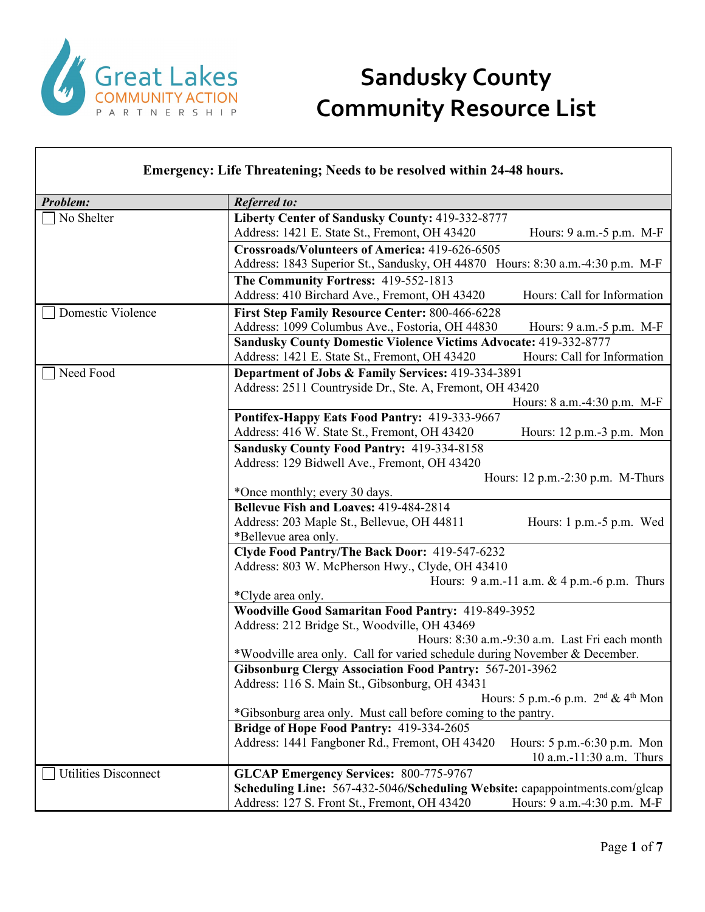

## **Sandusky County Community Resource List**

| <b>Emergency: Life Threatening; Needs to be resolved within 24-48 hours.</b> |                                                                                                                                                            |  |
|------------------------------------------------------------------------------|------------------------------------------------------------------------------------------------------------------------------------------------------------|--|
| Problem:                                                                     | <b>Referred to:</b>                                                                                                                                        |  |
| No Shelter                                                                   | Liberty Center of Sandusky County: 419-332-8777<br>Address: 1421 E. State St., Fremont, OH 43420<br>Hours: 9 a.m.-5 p.m. M-F                               |  |
|                                                                              | Crossroads/Volunteers of America: 419-626-6505<br>Address: 1843 Superior St., Sandusky, OH 44870 Hours: 8:30 a.m.-4:30 p.m. M-F                            |  |
|                                                                              | The Community Fortress: 419-552-1813<br>Address: 410 Birchard Ave., Fremont, OH 43420<br>Hours: Call for Information                                       |  |
| Domestic Violence                                                            | First Step Family Resource Center: 800-466-6228<br>Address: 1099 Columbus Ave., Fostoria, OH 44830<br>Hours: 9 a.m. - 5 p.m. M-F                           |  |
|                                                                              | <b>Sandusky County Domestic Violence Victims Advocate: 419-332-8777</b><br>Hours: Call for Information<br>Address: 1421 E. State St., Fremont, OH 43420    |  |
| Need Food                                                                    | Department of Jobs & Family Services: 419-334-3891<br>Address: 2511 Countryside Dr., Ste. A, Fremont, OH 43420<br>Hours: 8 a.m.-4:30 p.m. M-F              |  |
|                                                                              | Pontifex-Happy Eats Food Pantry: 419-333-9667<br>Address: 416 W. State St., Fremont, OH 43420<br>Hours: $12 p.m.-3 p.m.$ Mon                               |  |
|                                                                              | Sandusky County Food Pantry: 419-334-8158<br>Address: 129 Bidwell Ave., Fremont, OH 43420<br>Hours: 12 p.m.-2:30 p.m. M-Thurs                              |  |
|                                                                              | *Once monthly; every 30 days.                                                                                                                              |  |
|                                                                              | Bellevue Fish and Loaves: 419-484-2814<br>Address: 203 Maple St., Bellevue, OH 44811<br>Hours: $1 p.m.-5 p.m.$ Wed<br>*Bellevue area only.                 |  |
|                                                                              | Clyde Food Pantry/The Back Door: 419-547-6232<br>Address: 803 W. McPherson Hwy., Clyde, OH 43410                                                           |  |
|                                                                              | Hours: 9 a.m.-11 a.m. & 4 p.m.-6 p.m. Thurs<br>*Clyde area only.                                                                                           |  |
|                                                                              | Woodville Good Samaritan Food Pantry: 419-849-3952<br>Address: 212 Bridge St., Woodville, OH 43469                                                         |  |
|                                                                              | Hours: 8:30 a.m.-9:30 a.m. Last Fri each month<br>*Woodville area only. Call for varied schedule during November & December.                               |  |
|                                                                              | <b>Gibsonburg Clergy Association Food Pantry: 567-201-3962</b><br>Address: 116 S. Main St., Gibsonburg, OH 43431                                           |  |
|                                                                              | Hours: 5 p.m.-6 p.m. 2 <sup>nd</sup> & 4 <sup>th</sup> Mon<br>*Gibsonburg area only. Must call before coming to the pantry.                                |  |
|                                                                              | Bridge of Hope Food Pantry: 419-334-2605                                                                                                                   |  |
|                                                                              | Address: 1441 Fangboner Rd., Fremont, OH 43420<br>Hours: 5 p.m.-6:30 p.m. Mon<br>10 a.m.-11:30 a.m. Thurs                                                  |  |
| <b>Utilities Disconnect</b>                                                  | <b>GLCAP Emergency Services: 800-775-9767</b>                                                                                                              |  |
|                                                                              | Scheduling Line: 567-432-5046/Scheduling Website: capappointments.com/glcap<br>Address: 127 S. Front St., Fremont, OH 43420<br>Hours: 9 a.m.-4:30 p.m. M-F |  |

٦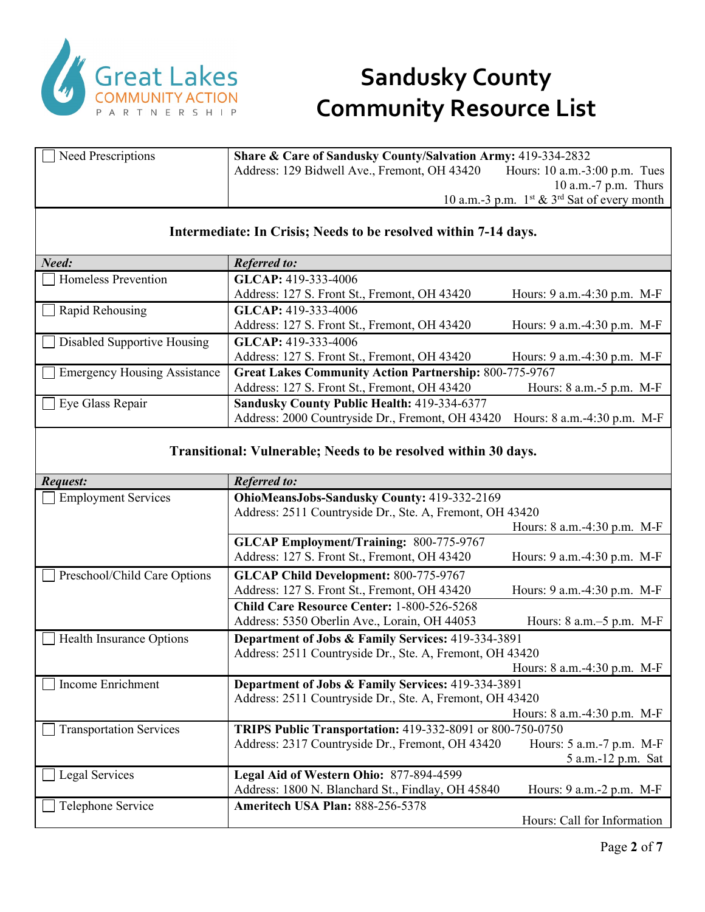

| Need Prescriptions                  | Share & Care of Sandusky County/Salvation Army: 419-334-2832    |                                             |
|-------------------------------------|-----------------------------------------------------------------|---------------------------------------------|
|                                     | Address: 129 Bidwell Ave., Fremont, OH 43420                    | Hours: 10 a.m.-3:00 p.m. Tues               |
|                                     |                                                                 | 10 a.m.-7 p.m. Thurs                        |
|                                     |                                                                 | 10 a.m.-3 p.m. 1st & 3rd Sat of every month |
|                                     |                                                                 |                                             |
|                                     | Intermediate: In Crisis; Needs to be resolved within 7-14 days. |                                             |
| Need:                               | <b>Referred to:</b>                                             |                                             |
| <b>Homeless Prevention</b>          | GLCAP: 419-333-4006                                             |                                             |
|                                     | Address: 127 S. Front St., Fremont, OH 43420                    | Hours: 9 a.m.-4:30 p.m. M-F                 |
| Rapid Rehousing                     | GLCAP: 419-333-4006                                             |                                             |
|                                     | Address: 127 S. Front St., Fremont, OH 43420                    | Hours: 9 a.m.-4:30 p.m. M-F                 |
| Disabled Supportive Housing         | GLCAP: 419-333-4006                                             |                                             |
|                                     | Address: 127 S. Front St., Fremont, OH 43420                    | Hours: 9 a.m.-4:30 p.m. M-F                 |
| <b>Emergency Housing Assistance</b> | <b>Great Lakes Community Action Partnership: 800-775-9767</b>   |                                             |
|                                     | Address: 127 S. Front St., Fremont, OH 43420                    | Hours: 8 a.m.-5 p.m. M-F                    |
| Eye Glass Repair                    | Sandusky County Public Health: 419-334-6377                     |                                             |
|                                     | Address: 2000 Countryside Dr., Fremont, OH 43420                | Hours: 8 a.m.-4:30 p.m. M-F                 |
|                                     |                                                                 |                                             |
|                                     | Transitional: Vulnerable; Needs to be resolved within 30 days.  |                                             |
| Request:                            | <b>Referred to:</b>                                             |                                             |
| <b>Employment Services</b>          | OhioMeansJobs-Sandusky County: 419-332-2169                     |                                             |
|                                     | Address: 2511 Countryside Dr., Ste. A, Fremont, OH 43420        |                                             |
|                                     |                                                                 | Hours: 8 a.m.-4:30 p.m. M-F                 |
|                                     | <b>GLCAP Employment/Training: 800-775-9767</b>                  |                                             |
|                                     | Address: 127 S. Front St., Fremont, OH 43420                    | Hours: 9 a.m.-4:30 p.m. M-F                 |
| Preschool/Child Care Options        | <b>GLCAP Child Development: 800-775-9767</b>                    |                                             |
|                                     | Address: 127 S. Front St., Fremont, OH 43420                    | Hours: 9 a.m.-4:30 p.m. M-F                 |
|                                     | Child Care Resource Center: 1-800-526-5268                      |                                             |
|                                     | Address: 5350 Oberlin Ave., Lorain, OH 44053                    | Hours: 8 a.m. - 5 p.m. M-F                  |
| Health Insurance Options            | Department of Jobs & Family Services: 419-334-3891              |                                             |
|                                     | Address: 2511 Countryside Dr., Ste. A, Fremont, OH 43420        |                                             |
| Income Enrichment                   | Department of Jobs & Family Services: 419-334-3891              | Hours: 8 a.m. -4:30 p.m. M-F                |
|                                     | Address: 2511 Countryside Dr., Ste. A, Fremont, OH 43420        |                                             |
|                                     |                                                                 | Hours: 8 a.m.-4:30 p.m. M-F                 |
| <b>Transportation Services</b>      | TRIPS Public Transportation: 419-332-8091 or 800-750-0750       |                                             |
|                                     | Address: 2317 Countryside Dr., Fremont, OH 43420                | Hours: 5 a.m.-7 p.m. M-F                    |
|                                     |                                                                 | 5 a.m.-12 p.m. Sat                          |
| Legal Services                      |                                                                 |                                             |
|                                     | Legal Aid of Western Ohio: 877-894-4599                         |                                             |
|                                     | Address: 1800 N. Blanchard St., Findlay, OH 45840               | Hours: $9$ a.m. $-2$ p.m. M-F               |
| Telephone Service                   | Ameritech USA Plan: 888-256-5378                                | Hours: Call for Information                 |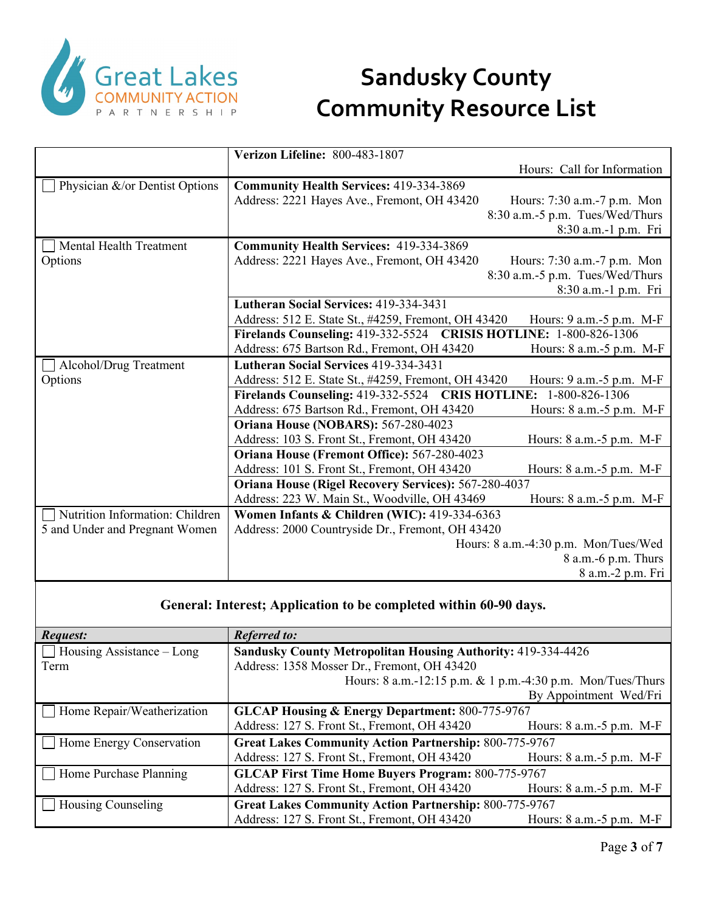

|                                 | Verizon Lifeline: 800-483-1807                                                  |
|---------------------------------|---------------------------------------------------------------------------------|
|                                 | Hours: Call for Information                                                     |
| Physician &/or Dentist Options  | <b>Community Health Services: 419-334-3869</b>                                  |
|                                 | Address: 2221 Hayes Ave., Fremont, OH 43420<br>Hours: 7:30 a.m.-7 p.m. Mon      |
|                                 | 8:30 a.m.-5 p.m. Tues/Wed/Thurs                                                 |
|                                 | 8:30 a.m.-1 p.m. Fri                                                            |
| Mental Health Treatment         | <b>Community Health Services: 419-334-3869</b>                                  |
| Options                         | Address: 2221 Hayes Ave., Fremont, OH 43420<br>Hours: 7:30 a.m.-7 p.m. Mon      |
|                                 | 8:30 a.m.-5 p.m. Tues/Wed/Thurs                                                 |
|                                 | 8:30 a.m.-1 p.m. Fri                                                            |
|                                 | Lutheran Social Services: 419-334-3431                                          |
|                                 | Address: 512 E. State St., #4259, Fremont, OH 43420<br>Hours: 9 a.m.-5 p.m. M-F |
|                                 | Firelands Counseling: 419-332-5524<br><b>CRISIS HOTLINE: 1-800-826-1306</b>     |
|                                 | Address: 675 Bartson Rd., Fremont, OH 43420<br>Hours: 8 a.m.-5 p.m. M-F         |
| Alcohol/Drug Treatment          | Lutheran Social Services 419-334-3431                                           |
| Options                         | Hours: 9 a.m.-5 p.m. M-F<br>Address: 512 E. State St., #4259, Fremont, OH 43420 |
|                                 | Firelands Counseling: 419-332-5524 CRIS HOTLINE: 1-800-826-1306                 |
|                                 | Address: 675 Bartson Rd., Fremont, OH 43420<br>Hours: 8 a.m.-5 p.m. M-F         |
|                                 | Oriana House (NOBARS): 567-280-4023                                             |
|                                 | Address: 103 S. Front St., Fremont, OH 43420<br>Hours: 8 a.m.-5 p.m. M-F        |
|                                 | Oriana House (Fremont Office): 567-280-4023                                     |
|                                 | Address: 101 S. Front St., Fremont, OH 43420<br>Hours: 8 a.m. - 5 p.m. M-F      |
|                                 | <b>Oriana House (Rigel Recovery Services): 567-280-4037</b>                     |
|                                 | Address: 223 W. Main St., Woodville, OH 43469<br>Hours: 8 a.m.-5 p.m. M-F       |
| Nutrition Information: Children | Women Infants & Children (WIC): 419-334-6363                                    |
| 5 and Under and Pregnant Women  | Address: 2000 Countryside Dr., Fremont, OH 43420                                |
|                                 | Hours: 8 a.m.-4:30 p.m. Mon/Tues/Wed                                            |
|                                 | 8 a.m.-6 p.m. Thurs                                                             |
|                                 | 8 a.m.-2 p.m. Fri                                                               |

#### **General: Interest; Application to be completed within 60-90 days.**

| Request:                         | <b>Referred to:</b>                                                 |                               |
|----------------------------------|---------------------------------------------------------------------|-------------------------------|
| $\Box$ Housing Assistance – Long | <b>Sandusky County Metropolitan Housing Authority: 419-334-4426</b> |                               |
| Term                             | Address: 1358 Mosser Dr., Fremont, OH 43420                         |                               |
|                                  | Hours: 8 a.m.-12:15 p.m. & 1 p.m.-4:30 p.m. Mon/Tues/Thurs          |                               |
|                                  |                                                                     | By Appointment Wed/Fri        |
| Home Repair/Weatherization       | <b>GLCAP Housing &amp; Energy Department: 800-775-9767</b>          |                               |
|                                  | Address: 127 S. Front St., Fremont, OH 43420                        | Hours: 8 a.m.-5 p.m. M-F      |
| Home Energy Conservation         | <b>Great Lakes Community Action Partnership: 800-775-9767</b>       |                               |
|                                  | Address: 127 S. Front St., Fremont, OH 43420                        | Hours: $8$ a.m.- $5$ p.m. M-F |
| Home Purchase Planning           | <b>GLCAP First Time Home Buyers Program: 800-775-9767</b>           |                               |
|                                  | Address: 127 S. Front St., Fremont, OH 43420                        | Hours: 8 a.m.-5 p.m. M-F      |
| Housing Counseling               | <b>Great Lakes Community Action Partnership: 800-775-9767</b>       |                               |
|                                  | Address: 127 S. Front St., Fremont, OH 43420                        | Hours: $8$ a.m.- $5$ p.m. M-F |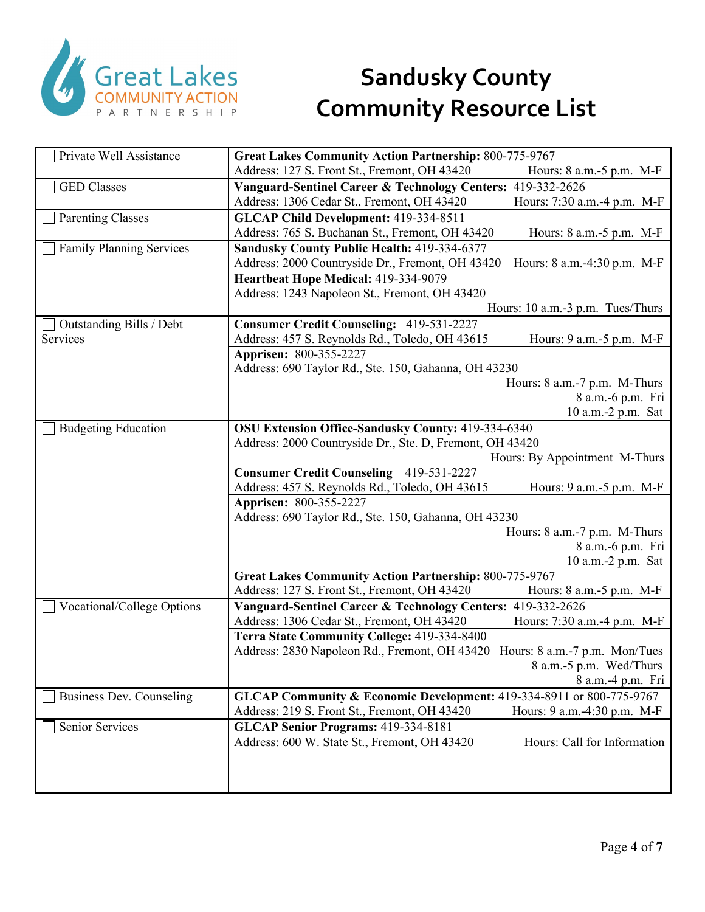

| Private Well Assistance         | <b>Great Lakes Community Action Partnership: 800-775-9767</b>                   |
|---------------------------------|---------------------------------------------------------------------------------|
|                                 | Address: 127 S. Front St., Fremont, OH 43420<br>Hours: 8 a.m. - 5 p.m. M-F      |
| <b>GED Classes</b>              | Vanguard-Sentinel Career & Technology Centers: 419-332-2626                     |
|                                 | Address: 1306 Cedar St., Fremont, OH 43420<br>Hours: 7:30 a.m.-4 p.m. M-F       |
| <b>Parenting Classes</b>        | GLCAP Child Development: 419-334-8511                                           |
|                                 | Address: 765 S. Buchanan St., Fremont, OH 43420<br>Hours: 8 a.m.-5 p.m. M-F     |
| <b>Family Planning Services</b> | Sandusky County Public Health: 419-334-6377                                     |
|                                 | Address: 2000 Countryside Dr., Fremont, OH 43420<br>Hours: 8 a.m.-4:30 p.m. M-F |
|                                 | Heartbeat Hope Medical: 419-334-9079                                            |
|                                 | Address: 1243 Napoleon St., Fremont, OH 43420                                   |
|                                 | Hours: 10 a.m.-3 p.m. Tues/Thurs                                                |
| Outstanding Bills / Debt        | <b>Consumer Credit Counseling: 419-531-2227</b>                                 |
| Services                        | Address: 457 S. Reynolds Rd., Toledo, OH 43615<br>Hours: 9 a.m.-5 p.m. M-F      |
|                                 | Apprisen: 800-355-2227                                                          |
|                                 | Address: 690 Taylor Rd., Ste. 150, Gahanna, OH 43230                            |
|                                 | Hours: 8 a.m.-7 p.m. M-Thurs                                                    |
|                                 | 8 a.m.-6 p.m. Fri                                                               |
|                                 | 10 a.m.-2 p.m. Sat                                                              |
| <b>Budgeting Education</b>      | <b>OSU Extension Office-Sandusky County: 419-334-6340</b>                       |
|                                 | Address: 2000 Countryside Dr., Ste. D, Fremont, OH 43420                        |
|                                 | Hours: By Appointment M-Thurs                                                   |
|                                 | <b>Consumer Credit Counseling 419-531-2227</b>                                  |
|                                 | Address: 457 S. Reynolds Rd., Toledo, OH 43615<br>Hours: $9$ a.m. $-5$ p.m. M-F |
|                                 | Apprisen: 800-355-2227<br>Address: 690 Taylor Rd., Ste. 150, Gahanna, OH 43230  |
|                                 | Hours: 8 a.m.-7 p.m. M-Thurs                                                    |
|                                 | 8 a.m.-6 p.m. Fri                                                               |
|                                 | 10 a.m.-2 p.m. Sat                                                              |
|                                 | <b>Great Lakes Community Action Partnership: 800-775-9767</b>                   |
|                                 | Address: 127 S. Front St., Fremont, OH 43420<br>Hours: 8 a.m. - 5 p.m. M-F      |
| Vocational/College Options      | Vanguard-Sentinel Career & Technology Centers: 419-332-2626                     |
|                                 | Address: 1306 Cedar St., Fremont, OH 43420<br>Hours: 7:30 a.m.-4 p.m. M-F       |
|                                 | Terra State Community College: 419-334-8400                                     |
|                                 | Address: 2830 Napoleon Rd., Fremont, OH 43420 Hours: 8 a.m.-7 p.m. Mon/Tues     |
|                                 | 8 a.m.-5 p.m. Wed/Thurs                                                         |
|                                 | 8 a.m.-4 p.m. Fri                                                               |
| Business Dev. Counseling        | GLCAP Community & Economic Development: 419-334-8911 or 800-775-9767            |
|                                 | Address: 219 S. Front St., Fremont, OH 43420<br>Hours: 9 a.m.-4:30 p.m. M-F     |
| Senior Services                 | GLCAP Senior Programs: 419-334-8181                                             |
|                                 | Address: 600 W. State St., Fremont, OH 43420<br>Hours: Call for Information     |
|                                 |                                                                                 |
|                                 |                                                                                 |
|                                 |                                                                                 |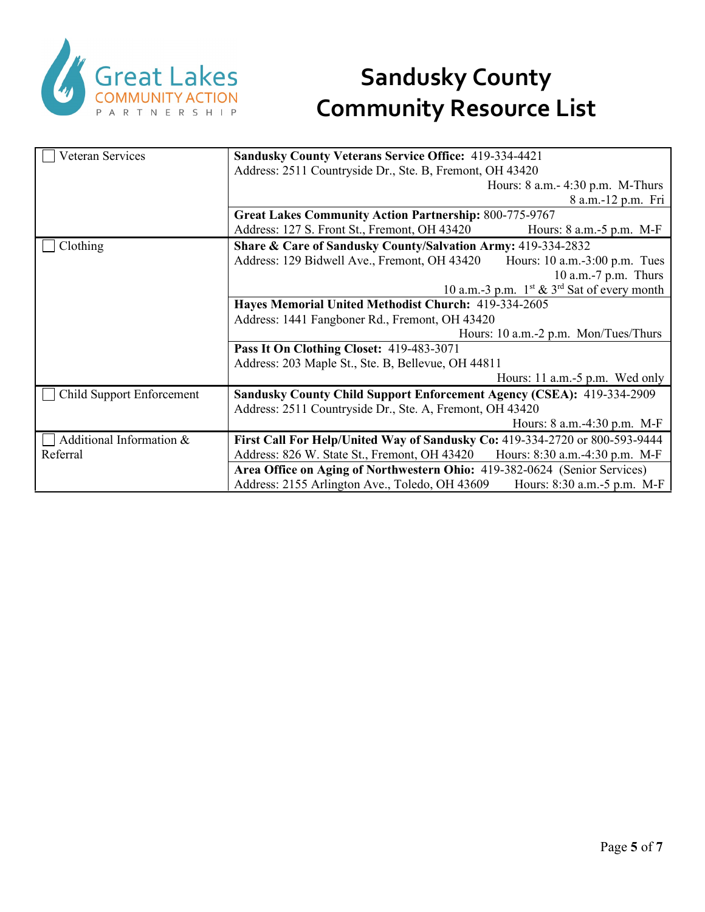

| Veteran Services          | <b>Sandusky County Veterans Service Office: 419-334-4421</b>                    |  |
|---------------------------|---------------------------------------------------------------------------------|--|
|                           | Address: 2511 Countryside Dr., Ste. B, Fremont, OH 43420                        |  |
|                           | Hours: $8$ a.m. $-$ 4:30 p.m. M-Thurs                                           |  |
|                           | 8 a.m.-12 p.m. Fri                                                              |  |
|                           | <b>Great Lakes Community Action Partnership: 800-775-9767</b>                   |  |
|                           | Address: 127 S. Front St., Fremont, OH 43420<br>Hours: $8$ a.m.- $5$ p.m. M-F   |  |
| Clothing                  | Share & Care of Sandusky County/Salvation Army: 419-334-2832                    |  |
|                           | Address: 129 Bidwell Ave., Fremont, OH 43420<br>Hours: 10 a.m.-3:00 p.m. Tues   |  |
|                           | 10 a.m.-7 p.m. Thurs                                                            |  |
|                           | 10 a.m.-3 p.m. $1^{st}$ & $3^{rd}$ Sat of every month                           |  |
|                           | Hayes Memorial United Methodist Church: 419-334-2605                            |  |
|                           | Address: 1441 Fangboner Rd., Fremont, OH 43420                                  |  |
|                           | Hours: 10 a.m.-2 p.m. Mon/Tues/Thurs                                            |  |
|                           | Pass It On Clothing Closet: 419-483-3071                                        |  |
|                           | Address: 203 Maple St., Ste. B, Bellevue, OH 44811                              |  |
|                           | Hours: 11 a.m.-5 p.m. Wed only                                                  |  |
| Child Support Enforcement | Sandusky County Child Support Enforcement Agency (CSEA): 419-334-2909           |  |
|                           | Address: 2511 Countryside Dr., Ste. A, Fremont, OH 43420                        |  |
|                           | Hours: 8 a.m. -4:30 p.m. M-F                                                    |  |
| Additional Information &  | First Call For Help/United Way of Sandusky Co: 419-334-2720 or 800-593-9444     |  |
| Referral                  | Address: 826 W. State St., Fremont, OH 43420<br>Hours: 8:30 a.m.-4:30 p.m. M-F  |  |
|                           | Area Office on Aging of Northwestern Ohio: 419-382-0624 (Senior Services)       |  |
|                           | Address: 2155 Arlington Ave., Toledo, OH 43609<br>Hours: 8:30 a.m. - 5 p.m. M-F |  |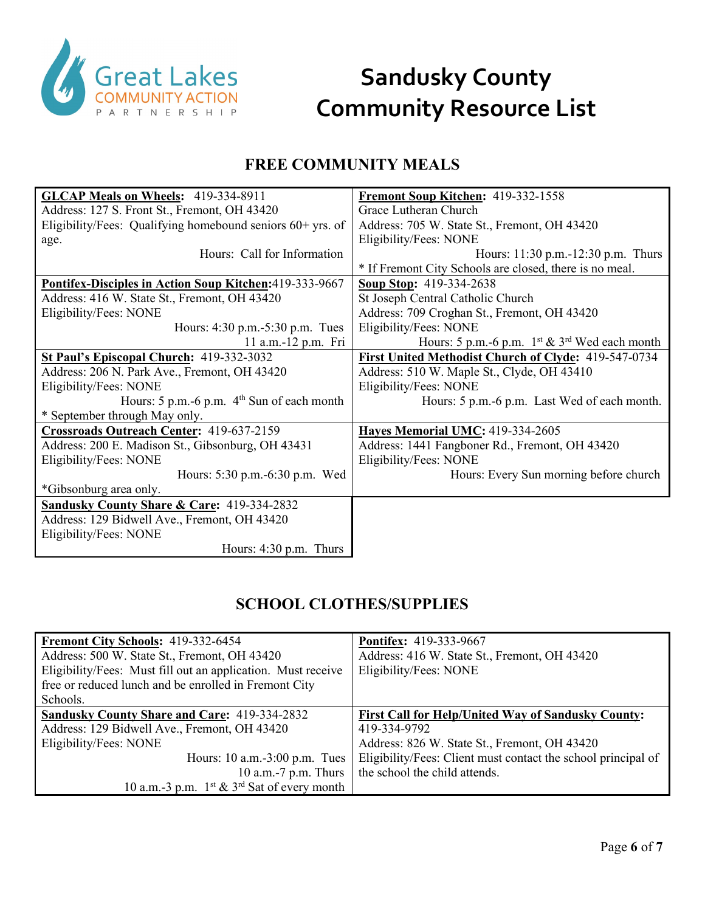

#### **FREE COMMUNITY MEALS**

| GLCAP Meals on Wheels: 419-334-8911                          | Fremont Soup Kitchen: 419-332-1558                      |
|--------------------------------------------------------------|---------------------------------------------------------|
| Address: 127 S. Front St., Fremont, OH 43420                 | Grace Lutheran Church                                   |
| Eligibility/Fees: Qualifying homebound seniors $60+$ yrs. of | Address: 705 W. State St., Fremont, OH 43420            |
| age.                                                         | Eligibility/Fees: NONE                                  |
| Hours: Call for Information                                  | Hours: 11:30 p.m. -12:30 p.m. Thurs                     |
|                                                              | * If Fremont City Schools are closed, there is no meal. |
| Pontifex-Disciples in Action Soup Kitchen: 419-333-9667      | <b>Soup Stop: 419-334-2638</b>                          |
| Address: 416 W. State St., Fremont, OH 43420                 | St Joseph Central Catholic Church                       |
| Eligibility/Fees: NONE                                       | Address: 709 Croghan St., Fremont, OH 43420             |
| Hours: 4:30 p.m.-5:30 p.m. Tues                              | Eligibility/Fees: NONE                                  |
| 11 a.m.-12 p.m. Fri                                          | Hours: 5 p.m.-6 p.m. 1st & 3rd Wed each month           |
| St Paul's Episcopal Church: 419-332-3032                     | First United Methodist Church of Clyde: 419-547-0734    |
| Address: 206 N. Park Ave., Fremont, OH 43420                 | Address: 510 W. Maple St., Clyde, OH 43410              |
| Eligibility/Fees: NONE                                       | Eligibility/Fees: NONE                                  |
| Hours: $5$ p.m. -6 p.m. $4th$ Sun of each month              | Hours: 5 p.m.-6 p.m. Last Wed of each month.            |
| * September through May only.                                |                                                         |
| Crossroads Outreach Center: 419-637-2159                     | <b>Hayes Memorial UMC: 419-334-2605</b>                 |
| Address: 200 E. Madison St., Gibsonburg, OH 43431            | Address: 1441 Fangboner Rd., Fremont, OH 43420          |
| Eligibility/Fees: NONE                                       | Eligibility/Fees: NONE                                  |
| Hours: 5:30 p.m.-6:30 p.m. Wed                               | Hours: Every Sun morning before church                  |
| *Gibsonburg area only.                                       |                                                         |
| <b>Sandusky County Share &amp; Care: 419-334-2832</b>        |                                                         |
| Address: 129 Bidwell Ave., Fremont, OH 43420                 |                                                         |
| Eligibility/Fees: NONE                                       |                                                         |
| Hours: $4:30$ p.m. Thurs                                     |                                                         |

#### **SCHOOL CLOTHES/SUPPLIES**

| Fremont City Schools: 419-332-6454<br>Address: 500 W. State St., Fremont, OH 43420<br>Eligibility/Fees: Must fill out an application. Must receive<br>free or reduced lunch and be enrolled in Fremont City | <b>Pontifex: 419-333-9667</b><br>Address: 416 W. State St., Fremont, OH 43420<br>Eligibility/Fees: NONE |
|-------------------------------------------------------------------------------------------------------------------------------------------------------------------------------------------------------------|---------------------------------------------------------------------------------------------------------|
| Schools.                                                                                                                                                                                                    |                                                                                                         |
| <b>Sandusky County Share and Care: 419-334-2832</b>                                                                                                                                                         | <b>First Call for Help/United Way of Sandusky County:</b>                                               |
| Address: 129 Bidwell Ave., Fremont, OH 43420                                                                                                                                                                | 419-334-9792                                                                                            |
| Eligibility/Fees: NONE                                                                                                                                                                                      | Address: 826 W. State St., Fremont, OH 43420                                                            |
| Hours: $10$ a.m.- $3:00$ p.m. Tues                                                                                                                                                                          | Eligibility/Fees: Client must contact the school principal of                                           |
| 10 a.m.-7 p.m. Thurs                                                                                                                                                                                        | the school the child attends.                                                                           |
| 10 a.m.-3 p.m. $1^{st}$ & $3^{rd}$ Sat of every month                                                                                                                                                       |                                                                                                         |